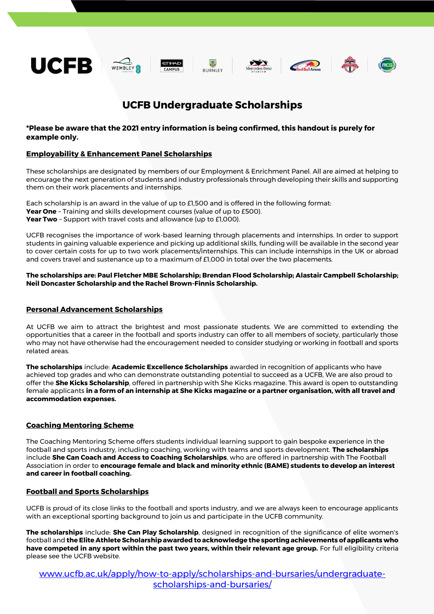

# **UCFB Undergraduate Scholarships**

# **\*Please be aware that the 2021 entry information is being confirmed, this handout is purely for example only.**

## **Employability & Enhancement Panel Scholarships**

These scholarships are designated by members of our Employment & Enrichment Panel. All are aimed at helping to encourage the next generation of students and industry professionals through developing their skills and supporting them on their work placements and internships.

Each scholarship is an award in the value of up to £1,500 and is offered in the following format: **Year One** – Training and skills development courses (value of up to £500). **Year Two** - Support with travel costs and allowance (up to £1,000).

UCFB recognises the importance of work-based learning through placements and internships. In order to support students in gaining valuable experience and picking up additional skills, funding will be available in the second year to cover certain costs for up to two work placements/internships. This can include internships in the UK or abroad and covers travel and sustenance up to a maximum of £1,000 in total over the two placements.

**The scholarships are: Paul Fletcher MBE Scholarship; Brendan Flood Scholarship; Alastair Campbell Scholarship; Neil Doncaster Scholarship and the Rachel Brown-Finnis Scholarship.**

### **Personal Advancement Scholarships**

At UCFB we aim to attract the brightest and most passionate students. We are committed to extending the opportunities that a career in the football and sports industry can offer to all members of society, particularly those who may not have otherwise had the encouragement needed to consider studying or working in football and sports related areas.

**The scholarships** include: **Academic Excellence Scholarships** awarded in recognition of applicants who have achieved top grades and who can demonstrate outstanding potential to succeed as a UCFB, We are also proud to offer the **She Kicks Scholarship**, offered in partnership with She Kicks magazine. This award is open to outstanding female applicants **in a form of an internship at She Kicks magazine or a partner organisation, with all travel and accommodation expenses.**

# **Coaching Mentoring Scheme**

The Coaching Mentoring Scheme offers students individual learning support to gain bespoke experience in the football and sports industry, including coaching, working with teams and sports development. **The scholarships** include **She Can Coach and Access to Coaching Scholarships**, who are offered in partnership with The Football Association in order to **encourage female and black and minority ethnic (BAME) students to develop an interest and career in football coaching.**

#### **Football and Sports Scholarships**

UCFB is proud of its close links to the football and sports industry, and we are always keen to encourage applicants with an exceptional sporting background to join us and participate in the UCFB community.

**The scholarships** include: **She Can Play Scholarship**, designed in recognition of the significance of elite women's football and **the Elite Athlete Scholarship awarded to acknowledge the sporting achievements of applicants who have competed in any sport within the past two years, within their relevant age group.** For full eligibility criteria please see the UCFB website.

[www.ucfb.ac.uk/apply/how-to-apply/scholarships-and-bursaries/undergraduate](http://www.ucfb.ac.uk/apply/how-to-apply/scholarships-and-bursaries/undergraduate-scholarships-and-bursaries/)[scholarships-and-bursaries/](http://www.ucfb.ac.uk/apply/how-to-apply/scholarships-and-bursaries/undergraduate-scholarships-and-bursaries/)